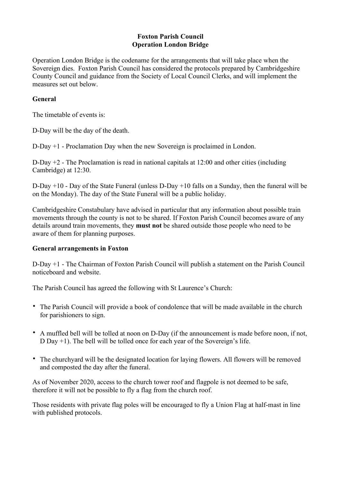## **Foxton Parish Council Operation London Bridge**

Operation London Bridge is the codename for the arrangements that will take place when the Sovereign dies. Foxton Parish Council has considered the protocols prepared by Cambridgeshire County Council and guidance from the Society of Local Council Clerks, and will implement the measures set out below.

## **General**

The timetable of events is:

D-Day will be the day of the death.

D-Day +1 - Proclamation Day when the new Sovereign is proclaimed in London.

D-Day +2 - The Proclamation is read in national capitals at 12:00 and other cities (including Cambridge) at 12:30.

D-Day +10 - Day of the State Funeral (unless D-Day +10 falls on a Sunday, then the funeral will be on the Monday). The day of the State Funeral will be a public holiday.

Cambridgeshire Constabulary have advised in particular that any information about possible train movements through the county is not to be shared. If Foxton Parish Council becomes aware of any details around train movements, they **must not** be shared outside those people who need to be aware of them for planning purposes.

## **General arrangements in Foxton**

D-Day +1 - The Chairman of Foxton Parish Council will publish a statement on the Parish Council noticeboard and website.

The Parish Council has agreed the following with St Laurence's Church:

- The Parish Council will provide a book of condolence that will be made available in the church for parishioners to sign.
- A muffled bell will be tolled at noon on D-Day (if the announcement is made before noon, if not, D Day +1). The bell will be tolled once for each year of the Sovereign's life.
- The churchyard will be the designated location for laying flowers. All flowers will be removed and composted the day after the funeral.

As of November 2020, access to the church tower roof and flagpole is not deemed to be safe, therefore it will not be possible to fly a flag from the church roof.

Those residents with private flag poles will be encouraged to fly a Union Flag at half-mast in line with published protocols.